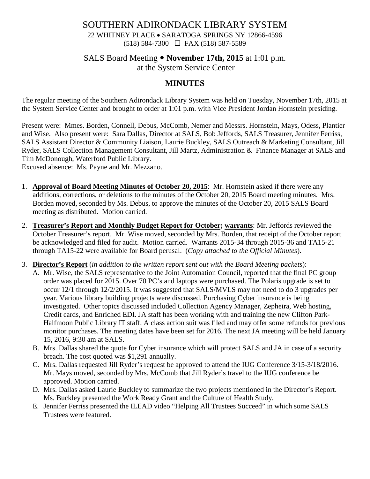## SOUTHERN ADIRONDACK LIBRARY SYSTEM 22 WHITNEY PLACE • SARATOGA SPRINGS NY 12866-4596 (518) 584-7300 FAX (518) 587-5589

# SALS Board Meeting **November 17th, 2015** at 1:01 p.m.

at the System Service Center

## **MINUTES**

The regular meeting of the Southern Adirondack Library System was held on Tuesday, November 17th, 2015 at the System Service Center and brought to order at 1:01 p.m. with Vice President Jordan Hornstein presiding.

Present were: Mmes. Borden, Connell, Debus, McComb, Nemer and Messrs. Hornstein, Mays, Odess, Plantier and Wise. Also present were: Sara Dallas, Director at SALS, Bob Jeffords, SALS Treasurer, Jennifer Ferriss, SALS Assistant Director & Community Liaison, Laurie Buckley, SALS Outreach & Marketing Consultant, Jill Ryder, SALS Collection Management Consultant, Jill Martz, Administration & Finance Manager at SALS and Tim McDonough, Waterford Public Library.

Excused absence: Ms. Payne and Mr. Mezzano.

- 1. **Approval of Board Meeting Minutes of October 20, 2015**: Mr. Hornstein asked if there were any additions, corrections, or deletions to the minutes of the October 20, 2015 Board meeting minutes. Mrs. Borden moved, seconded by Ms. Debus, to approve the minutes of the October 20, 2015 SALS Board meeting as distributed. Motion carried.
- 2. **Treasurer's Report and Monthly Budget Report for October; warrants**: Mr. Jeffords reviewed the October Treasurer's report. Mr. Wise moved, seconded by Mrs. Borden, that receipt of the October report be acknowledged and filed for audit. Motion carried. Warrants 2015-34 through 2015-36 and TA15-21 through TA15-22 were available for Board perusal. (*Copy attached to the Official Minutes*).
- 3. **Director's Report** (*in addition to the written report sent out with the Board Meeting packets*):
	- A. Mr. Wise, the SALS representative to the Joint Automation Council, reported that the final PC group order was placed for 2015. Over 70 PC's and laptops were purchased. The Polaris upgrade is set to occur 12/1 through 12/2/2015. It was suggested that SALS/MVLS may not need to do 3 upgrades per year. Various library building projects were discussed. Purchasing Cyber insurance is being investigated. Other topics discussed included Collection Agency Manager, Zepheira, Web hosting, Credit cards, and Enriched EDI. JA staff has been working with and training the new Clifton Park-Halfmoon Public Library IT staff. A class action suit was filed and may offer some refunds for previous monitor purchases. The meeting dates have been set for 2016. The next JA meeting will be held January 15, 2016, 9:30 am at SALS.
	- B. Mrs. Dallas shared the quote for Cyber insurance which will protect SALS and JA in case of a security breach. The cost quoted was \$1,291 annually.
	- C. Mrs. Dallas requested Jill Ryder's request be approved to attend the IUG Conference 3/15-3/18/2016. Mr. Mays moved, seconded by Mrs. McComb that Jill Ryder's travel to the IUG conference be approved. Motion carried.
	- D. Mrs. Dallas asked Laurie Buckley to summarize the two projects mentioned in the Director's Report. Ms. Buckley presented the Work Ready Grant and the Culture of Health Study.
	- E. Jennifer Ferriss presented the ILEAD video "Helping All Trustees Succeed" in which some SALS Trustees were featured.